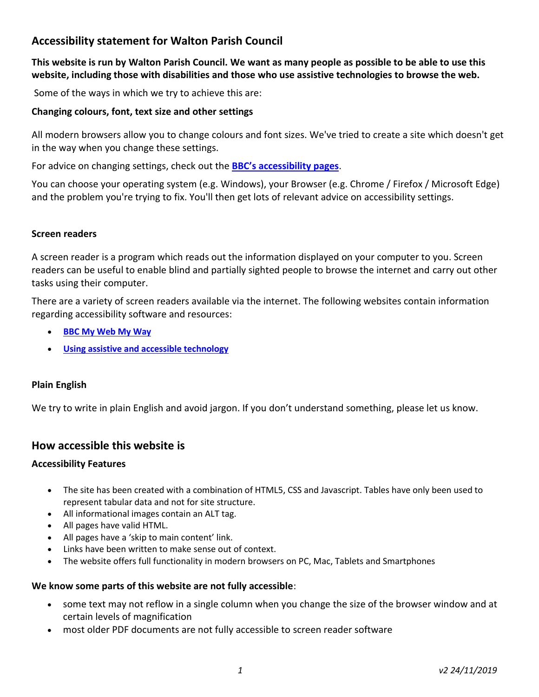# **Accessibility statement for Walton Parish Council**

**This website is run by Walton Parish Council. We want as many people as possible to be able to use this website, including those with disabilities and those who use assistive technologies to browse the web.**

Some of the ways in which we try to achieve this are:

#### **Changing colours, font, text size and other settings**

All modern browsers allow you to change colours and font sizes. We've tried to create a site which doesn't get in the way when you change these settings.

For advice on changing settings, check out the **[BBC's accessibility pages](http://www.bbc.co.uk/accessibility/)**.

You can choose your operating system (e.g. Windows), your Browser (e.g. Chrome / Firefox / Microsoft Edge) and the problem you're trying to fix. You'll then get lots of relevant advice on accessibility settings.

#### **Screen readers**

A screen reader is a program which reads out the information displayed on your computer to you. Screen readers can be useful to enable blind and partially sighted people to browse the internet and carry out other tasks using their computer.

There are a variety of screen readers available via the internet. The following websites contain information regarding accessibility software and resources:

- **[BBC My Web My Way](http://www.bbc.co.uk/accessibility/index.shtml)**
- **[Using assistive and accessible technology](https://www.jisc.ac.uk/guides/using-assistive-and-accessible-technology-in-teaching-and-learning)**

#### **Plain English**

We try to write in plain English and avoid jargon. If you don't understand something, please let us know.

### **How accessible this website is**

#### **Accessibility Features**

- The site has been created with a combination of HTML5, CSS and Javascript. Tables have only been used to represent tabular data and not for site structure.
- All informational images contain an ALT tag.
- All pages have valid HTML.
- All pages have a 'skip to main content' link.
- Links have been written to make sense out of context.
- The website offers full functionality in modern browsers on PC, Mac, Tablets and Smartphones

#### **We know some parts of this website are not fully accessible**:

- some text may not reflow in a single column when you change the size of the browser window and at certain levels of magnification
- most older PDF documents are not fully accessible to screen reader software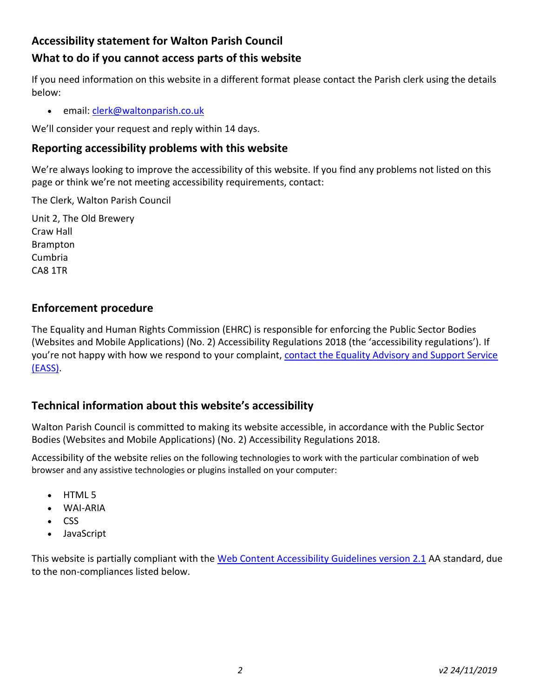# **Accessibility statement for Walton Parish Council**

# **What to do if you cannot access parts of this website**

If you need information on this website in a different format please contact the Parish clerk using the details below:

• email[: clerk@waltonparish.co.uk](mailto:clerk@waltonparish.co.uk)

We'll consider your request and reply within 14 days.

## **Reporting accessibility problems with this website**

We're always looking to improve the accessibility of this website. If you find any problems not listed on this page or think we're not meeting accessibility requirements, contact:

The Clerk, Walton Parish Council

Unit 2, The Old Brewery Craw Hall Brampton Cumbria CA8 1TR

## **Enforcement procedure**

The Equality and Human Rights Commission (EHRC) is responsible for enforcing the Public Sector Bodies (Websites and Mobile Applications) (No. 2) Accessibility Regulations 2018 (the 'accessibility regulations'). If you're not happy with how we respond to your complaint, [contact the Equality Advisory and Support Service](https://www.equalityadvisoryservice.com/)  [\(EASS\).](https://www.equalityadvisoryservice.com/)

## **Technical information about this website's accessibility**

Walton Parish Council is committed to making its website accessible, in accordance with the Public Sector Bodies (Websites and Mobile Applications) (No. 2) Accessibility Regulations 2018.

Accessibility of the website relies on the following technologies to work with the particular combination of web browser and any assistive technologies or plugins installed on your computer:

- HTML 5
- WAI-ARIA
- CSS
- JavaScript

This website is partially compliant with the [Web Content Accessibility Guidelines version 2.1](https://www.w3.org/TR/WCAG21/) AA standard, due to the non-compliances listed below.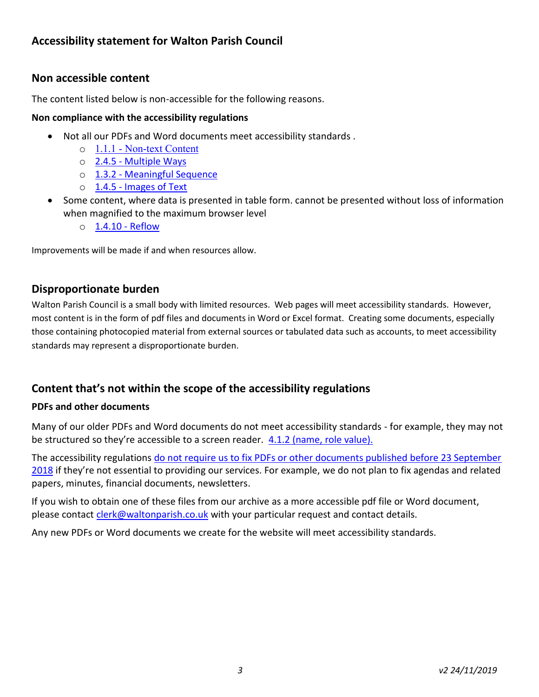# **Non accessible content**

The content listed below is non-accessible for the following reasons.

#### **Non compliance with the accessibility regulations**

- Not all our PDFs and Word documents meet accessibility standards .
	- o 1.1.1 [Non-text Content](https://www.w3.org/TR/WCAG21/#non-text-content)
	- o 2.4.5 [Multiple Ways](https://www.w3.org/TR/WCAG21/#multiple-ways)
	- o 1.3.2 [Meaningful Sequence](https://www.w3.org/TR/WCAG21/#meaningful-sequence)
	- o 1.4.5 [Images of Text](https://www.w3.org/TR/WCAG21/#images-of-text)
- Some content, where data is presented in table form. cannot be presented without loss of information when magnified to the maximum browser level
	- o [1.4.10 -](https://www.w3.org/TR/WCAG21/#reflow) Reflow

Improvements will be made if and when resources allow.

## **Disproportionate burden**

Walton Parish Council is a small body with limited resources. Web pages will meet accessibility standards. However, most content is in the form of pdf files and documents in Word or Excel format. Creating some documents, especially those containing photocopied material from external sources or tabulated data such as accounts, to meet accessibility standards may represent a disproportionate burden.

# **Content that's not within the scope of the accessibility regulations**

### **PDFs and other documents**

Many of our older PDFs and Word documents do not meet accessibility standards - for example, they may not be structured so they're accessible to a screen reader. [4.1.2 \(name, role value\).](https://www.w3.org/TR/WCAG21/#name-role-value)

The accessibility regulations [do not require us to fix PDFs or other documents published before 23 September](http://www.legislation.gov.uk/uksi/2018/952/regulation/4/made)  [2018](http://www.legislation.gov.uk/uksi/2018/952/regulation/4/made) if they're not essential to providing our services. For example, we do not plan to fix agendas and related papers, minutes, financial documents, newsletters.

If you wish to obtain one of these files from our archive as a more accessible pdf file or Word document, please contact [clerk@waltonparish.co.uk](mailto:clerk@waltonparish.co.uk) with your particular request and contact details.

Any new PDFs or Word documents we create for the website will meet accessibility standards.